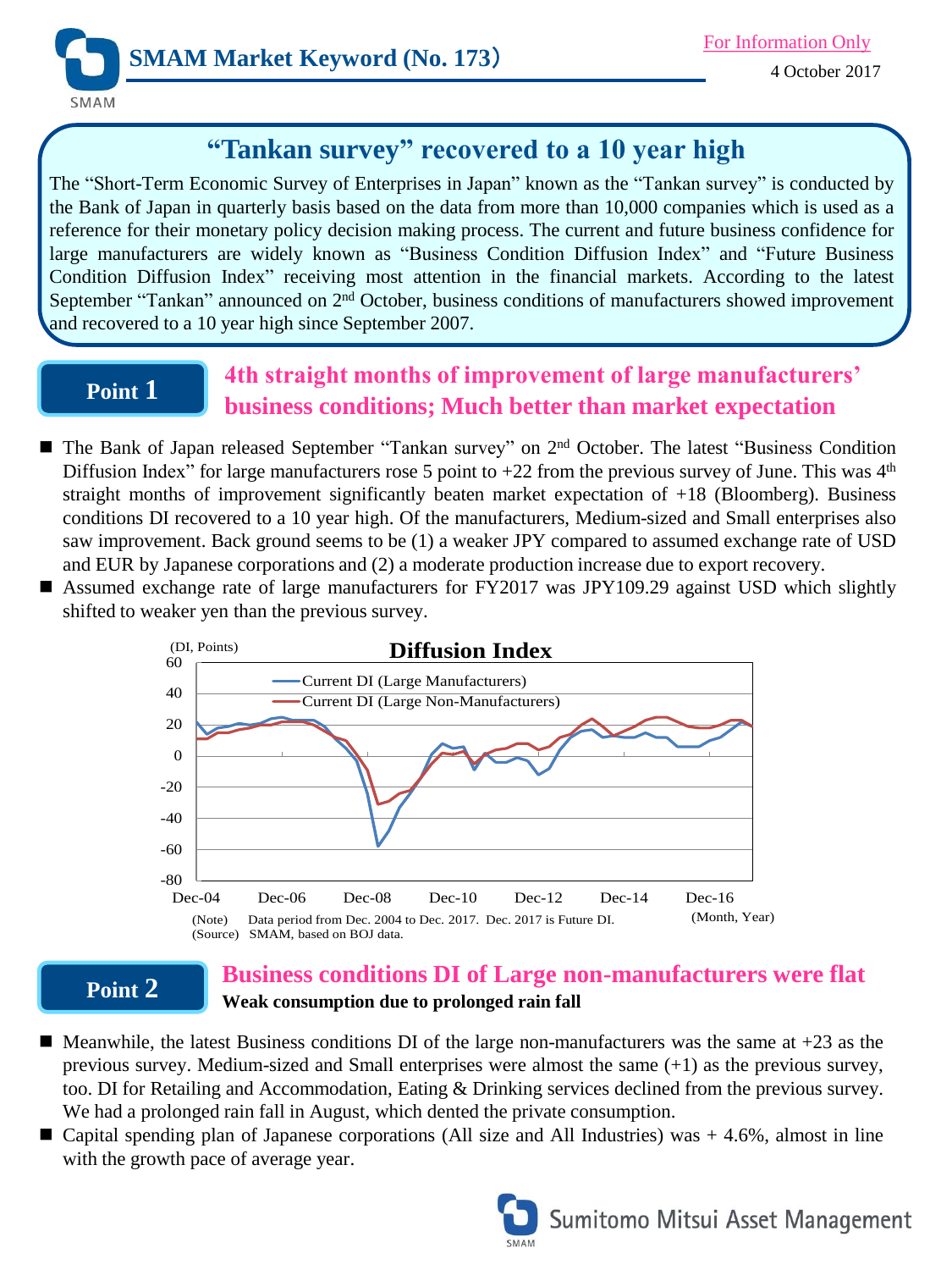

**"Tankan survey" recovered to a 10 year high**

The "Short-Term Economic Survey of Enterprises in Japan" known as the "Tankan survey" is conducted by the Bank of Japan in quarterly basis based on the data from more than 10,000 companies which is used as a reference for their monetary policy decision making process. The current and future business confidence for large manufacturers are widely known as "Business Condition Diffusion Index" and "Future Business Condition Diffusion Index" receiving most attention in the financial markets. According to the latest September "Tankan" announced on 2<sup>nd</sup> October, business conditions of manufacturers showed improvement and recovered to a 10 year high since September 2007.

# **Point 1**

# **4th straight months of improvement of large manufacturers' business conditions; Much better than market expectation**

- The Bank of Japan released September "Tankan survey" on 2<sup>nd</sup> October. The latest "Business Condition Diffusion Index" for large manufacturers rose 5 point to  $+22$  from the previous survey of June. This was  $4<sup>th</sup>$ straight months of improvement significantly beaten market expectation of +18 (Bloomberg). Business conditions DI recovered to a 10 year high. Of the manufacturers, Medium-sized and Small enterprises also saw improvement. Back ground seems to be (1) a weaker JPY compared to assumed exchange rate of USD and EUR by Japanese corporations and (2) a moderate production increase due to export recovery.
- Assumed exchange rate of large manufacturers for FY2017 was JPY109.29 against USD which slightly shifted to weaker yen than the previous survey.



# **Point 2**

# **Business conditions DI of Large non-manufacturers were flat Weak consumption due to prolonged rain fall**

- Meanwhile, the latest Business conditions DI of the large non-manufacturers was the same at +23 as the previous survey. Medium-sized and Small enterprises were almost the same (+1) as the previous survey, too. DI for Retailing and Accommodation, Eating & Drinking services declined from the previous survey. We had a prolonged rain fall in August, which dented the private consumption.
- Capital spending plan of Japanese corporations (All size and All Industries) was  $+4.6\%$ , almost in line with the growth pace of average year.